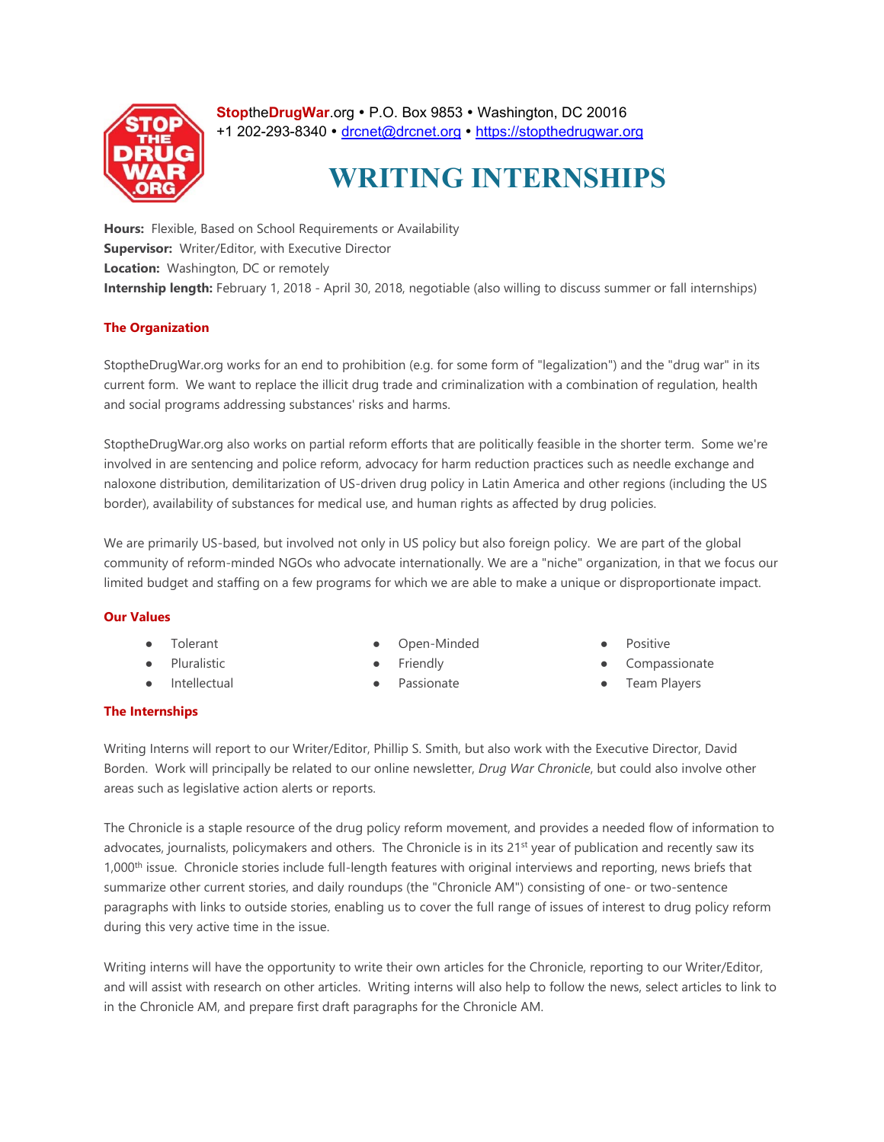

**StoptheDrugWar.org • P.O. Box 9853 • Washington, DC 20016** +1 202-293-8340 · drcnet@drcnet.org · https://stopthedrugwar.org

# **WRITING INTERNSHIPS**

**Hours:** Flexible, Based on School Requirements or Availability **Supervisor:** Writer/Editor, with Executive Director **Location:** Washington, DC or remotely **Internship length:** February 1, 2018 - April 30, 2018, negotiable (also willing to discuss summer or fall internships)

# **The Organization**

StoptheDrugWar.org works for an end to prohibition (e.g. for some form of "legalization") and the "drug war" in its current form. We want to replace the illicit drug trade and criminalization with a combination of regulation, health and social programs addressing substances' risks and harms.

StoptheDrugWar.org also works on partial reform efforts that are politically feasible in the shorter term. Some we're involved in are sentencing and police reform, advocacy for harm reduction practices such as needle exchange and naloxone distribution, demilitarization of US-driven drug policy in Latin America and other regions (including the US border), availability of substances for medical use, and human rights as affected by drug policies.

We are primarily US-based, but involved not only in US policy but also foreign policy. We are part of the global community of reform-minded NGOs who advocate internationally. We are a "niche" organization, in that we focus our limited budget and staffing on a few programs for which we are able to make a unique or disproportionate impact.

# **Our Values**

- **Tolerant**
- Pluralistic
- Intellectual
- Open-Minded
- **Friendly**
- Passionate
- Positive
- Compassionate
- Team Players

## **The Internships**

Writing Interns will report to our Writer/Editor, Phillip S. Smith, but also work with the Executive Director, David Borden. Work will principally be related to our online newsletter, *Drug War Chronicle*, but could also involve other areas such as legislative action alerts or reports.

The Chronicle is a staple resource of the drug policy reform movement, and provides a needed flow of information to advocates, journalists, policymakers and others. The Chronicle is in its 21<sup>st</sup> year of publication and recently saw its 1,000<sup>th</sup> issue. Chronicle stories include full-length features with original interviews and reporting, news briefs that summarize other current stories, and daily roundups (the "Chronicle AM") consisting of one- or two-sentence paragraphs with links to outside stories, enabling us to cover the full range of issues of interest to drug policy reform during this very active time in the issue.

Writing interns will have the opportunity to write their own articles for the Chronicle, reporting to our Writer/Editor, and will assist with research on other articles. Writing interns will also help to follow the news, select articles to link to in the Chronicle AM, and prepare first draft paragraphs for the Chronicle AM.